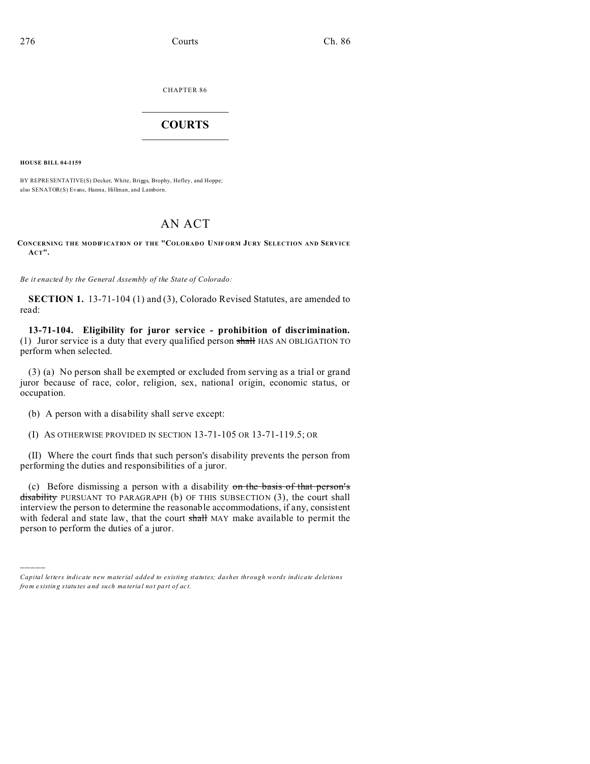CHAPTER 86  $\overline{\phantom{a}}$  , where  $\overline{\phantom{a}}$ 

## **COURTS**  $\_$

**HOUSE BILL 04-1159**

)))))

BY REPRESENTATIVE(S) Decker, White, Briggs, Brophy, Hefley, and Hoppe; also SENATOR(S) Evans, Hanna, Hillman, and Lamborn.

## AN ACT

## **CONCERNING THE MODIFICATION OF THE "COLORADO UNIF ORM JURY SELECTION AND SERVICE ACT".**

*Be it enacted by the General Assembly of the State of Colorado:*

**SECTION 1.** 13-71-104 (1) and (3), Colorado Revised Statutes, are amended to read:

**13-71-104. Eligibility for juror service - prohibition of discrimination.** (1) Juror service is a duty that every qualified person  $\frac{\text{shall}}{\text{absall}}$  HAS AN OBLIGATION TO perform when selected.

(3) (a) No person shall be exempted or excluded from serving as a trial or grand juror because of race, color, religion, sex, national origin, economic status, or occupation.

(b) A person with a disability shall serve except:

(I) AS OTHERWISE PROVIDED IN SECTION 13-71-105 OR 13-71-119.5; OR

(II) Where the court finds that such person's disability prevents the person from performing the duties and responsibilities of a juror.

(c) Before dismissing a person with a disability on the basis of that person's disability PURSUANT TO PARAGRAPH (b) OF THIS SUBSECTION (3), the court shall interview the person to determine the reasonable accommodations, if any, consistent with federal and state law, that the court shall MAY make available to permit the person to perform the duties of a juror.

*Capital letters indicate new material added to existing statutes; dashes through words indicate deletions from e xistin g statu tes a nd such ma teria l no t pa rt of ac t.*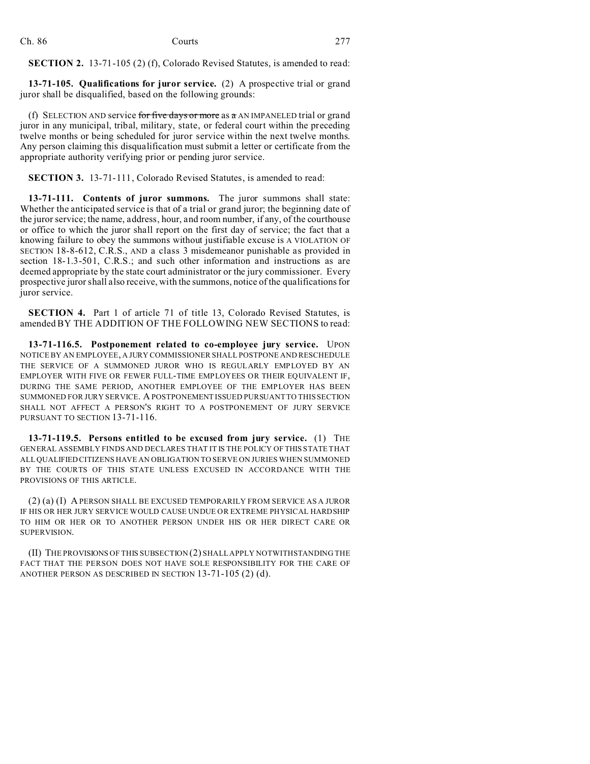**SECTION 2.** 13-71-105 (2) (f), Colorado Revised Statutes, is amended to read:

**13-71-105. Qualifications for juror service.** (2) A prospective trial or grand juror shall be disqualified, based on the following grounds:

(f) SELECTION AND service for five days or more as a AN IMPANELED trial or grand juror in any municipal, tribal, military, state, or federal court within the preceding twelve months or being scheduled for juror service within the next twelve months. Any person claiming this disqualification must submit a letter or certificate from the appropriate authority verifying prior or pending juror service.

**SECTION 3.** 13-71-111, Colorado Revised Statutes, is amended to read:

**13-71-111. Contents of juror summons.** The juror summons shall state: Whether the anticipated service is that of a trial or grand juror; the beginning date of the juror service; the name, address, hour, and room number, if any, of the courthouse or office to which the juror shall report on the first day of service; the fact that a knowing failure to obey the summons without justifiable excuse is A VIOLATION OF SECTION 18-8-612, C.R.S., AND a class 3 misdemeanor punishable as provided in section 18-1.3-501, C.R.S.; and such other information and instructions as are deemed appropriate by the state court administrator or the jury commissioner. Every prospective juror shall also receive, with the summons, notice of the qualifications for juror service.

**SECTION 4.** Part 1 of article 71 of title 13, Colorado Revised Statutes, is amended BY THE ADDITION OF THE FOLLOWING NEW SECTIONS to read:

**13-71-116.5. Postponement related to co-employee jury service.** UPON NOTICE BY AN EMPLOYEE, A JURY COMMISSIONER SHALL POSTPONE AND RESCHEDULE THE SERVICE OF A SUMMONED JUROR WHO IS REGULARLY EMPLOYED BY AN EMPLOYER WITH FIVE OR FEWER FULL-TIME EMPLOYEES OR THEIR EQUIVALENT IF, DURING THE SAME PERIOD, ANOTHER EMPLOYEE OF THE EMPLOYER HAS BEEN SUMMONED FOR JURY SERVICE. A POSTPONEMENT ISSUED PURSUANT TO THIS SECTION SHALL NOT AFFECT A PERSON'S RIGHT TO A POSTPONEMENT OF JURY SERVICE PURSUANT TO SECTION 13-71-116.

**13-71-119.5. Persons entitled to be excused from jury service.** (1) THE GENERAL ASSEMBLY FINDS AND DECLARES THAT IT IS THE POLICY OF THIS STATE THAT ALL QUALIFIED CITIZENS HAVE AN OBLIGATION TO SERVE ON JURIES WHEN SUMMONED BY THE COURTS OF THIS STATE UNLESS EXCUSED IN ACCORDANCE WITH THE PROVISIONS OF THIS ARTICLE.

(2) (a) (I) A PERSON SHALL BE EXCUSED TEMPORARILY FROM SERVICE AS A JUROR IF HIS OR HER JURY SERVICE WOULD CAUSE UNDUE OR EXTREME PHYSICAL HARDSHIP TO HIM OR HER OR TO ANOTHER PERSON UNDER HIS OR HER DIRECT CARE OR SUPERVISION.

(II) THE PROVISIONS OF THIS SUBSECTION (2) SHALL APPLY NOTWITHSTANDING THE FACT THAT THE PERSON DOES NOT HAVE SOLE RESPONSIBILITY FOR THE CARE OF ANOTHER PERSON AS DESCRIBED IN SECTION 13-71-105 (2) (d).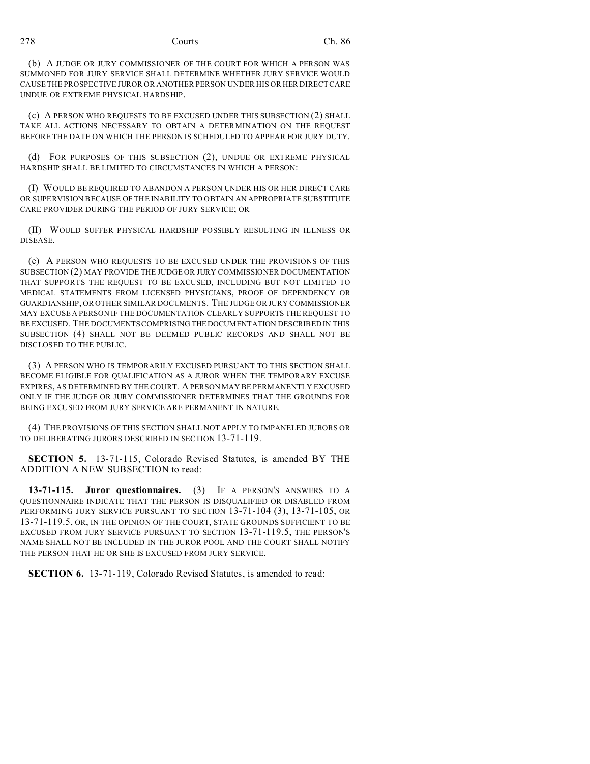(b) A JUDGE OR JURY COMMISSIONER OF THE COURT FOR WHICH A PERSON WAS SUMMONED FOR JURY SERVICE SHALL DETERMINE WHETHER JURY SERVICE WOULD CAUSE THE PROSPECTIVE JUROR OR ANOTHER PERSON UNDER HIS OR HER DIRECT CARE UNDUE OR EXTREME PHYSICAL HARDSHIP.

(c) A PERSON WHO REQUESTS TO BE EXCUSED UNDER THIS SUBSECTION (2) SHALL TAKE ALL ACTIONS NECESSARY TO OBTAIN A DETERMINATION ON THE REQUEST BEFORE THE DATE ON WHICH THE PERSON IS SCHEDULED TO APPEAR FOR JURY DUTY.

(d) FOR PURPOSES OF THIS SUBSECTION (2), UNDUE OR EXTREME PHYSICAL HARDSHIP SHALL BE LIMITED TO CIRCUMSTANCES IN WHICH A PERSON:

(I) WOULD BE REQUIRED TO ABANDON A PERSON UNDER HIS OR HER DIRECT CARE OR SUPERVISION BECAUSE OF THE INABILITY TO OBTAIN AN APPROPRIATE SUBSTITUTE CARE PROVIDER DURING THE PERIOD OF JURY SERVICE; OR

(II) WOULD SUFFER PHYSICAL HARDSHIP POSSIBLY RESULTING IN ILLNESS OR DISEASE.

(e) A PERSON WHO REQUESTS TO BE EXCUSED UNDER THE PROVISIONS OF THIS SUBSECTION (2) MAY PROVIDE THE JUDGE OR JURY COMMISSIONER DOCUMENTATION THAT SUPPORTS THE REQUEST TO BE EXCUSED, INCLUDING BUT NOT LIMITED TO MEDICAL STATEMENTS FROM LICENSED PHYSICIANS, PROOF OF DEPENDENCY OR GUARDIANSHIP, OR OTHER SIMILAR DOCUMENTS. THE JUDGE OR JURY COMMISSIONER MAY EXCUSE A PERSON IF THE DOCUMENTATION CLEARLY SUPPORTS THE REQUEST TO BE EXCUSED. THE DOCUMENTS COMPRISING THEDOCUMENTATION DESCRIBED IN THIS SUBSECTION (4) SHALL NOT BE DEEMED PUBLIC RECORDS AND SHALL NOT BE DISCLOSED TO THE PUBLIC.

(3) A PERSON WHO IS TEMPORARILY EXCUSED PURSUANT TO THIS SECTION SHALL BECOME ELIGIBLE FOR QUALIFICATION AS A JUROR WHEN THE TEMPORARY EXCUSE EXPIRES, AS DETERMINED BY THE COURT. A PERSON MAY BE PERMANENTLY EXCUSED ONLY IF THE JUDGE OR JURY COMMISSIONER DETERMINES THAT THE GROUNDS FOR BEING EXCUSED FROM JURY SERVICE ARE PERMANENT IN NATURE.

(4) THE PROVISIONS OF THIS SECTION SHALL NOT APPLY TO IMPANELED JURORS OR TO DELIBERATING JURORS DESCRIBED IN SECTION 13-71-119.

**SECTION 5.** 13-71-115, Colorado Revised Statutes, is amended BY THE ADDITION A NEW SUBSECTION to read:

**13-71-115. Juror questionnaires.** (3) IF A PERSON'S ANSWERS TO A QUESTIONNAIRE INDICATE THAT THE PERSON IS DISQUALIFIED OR DISABLED FROM PERFORMING JURY SERVICE PURSUANT TO SECTION 13-71-104 (3), 13-71-105, OR 13-71-119.5, OR, IN THE OPINION OF THE COURT, STATE GROUNDS SUFFICIENT TO BE EXCUSED FROM JURY SERVICE PURSUANT TO SECTION 13-71-119.5, THE PERSON'S NAME SHALL NOT BE INCLUDED IN THE JUROR POOL AND THE COURT SHALL NOTIFY THE PERSON THAT HE OR SHE IS EXCUSED FROM JURY SERVICE.

**SECTION 6.** 13-71-119, Colorado Revised Statutes, is amended to read: